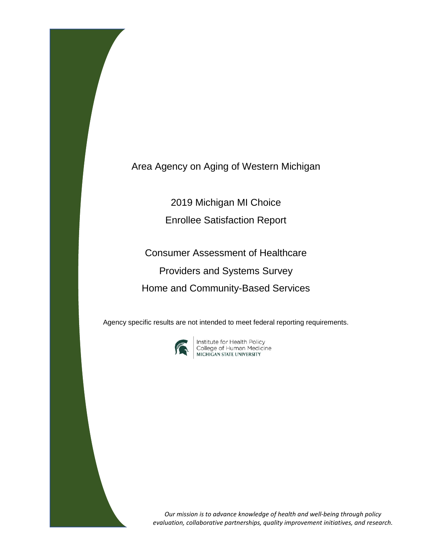Area Agency on Aging of Western Michigan

2019 Michigan MI Choice

Enrollee Satisfaction Report

Consumer Assessment of Healthcare Providers and Systems Survey Home and Community-Based Services

Agency specific results are not intended to meet federal reporting requirements.



**Institute for Health Policy<br>College of Human Medicine<br>MICHIGAN STATE UNIVERSITY** 

*Our mission is to advance knowledge of health and well-being through policy evaluation, collaborative partnerships, quality improvement initiatives, and research.*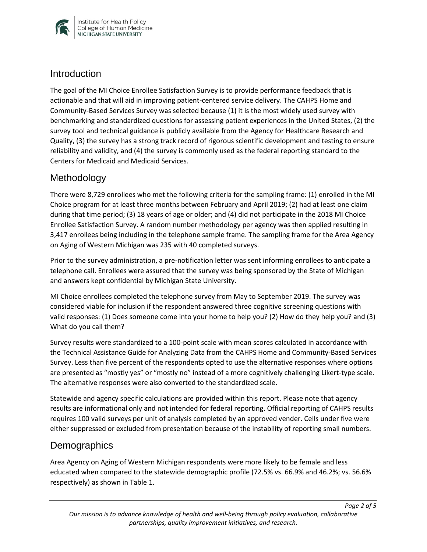

#### **Introduction**

The goal of the MI Choice Enrollee Satisfaction Survey is to provide performance feedback that is actionable and that will aid in improving patient-centered service delivery. The CAHPS Home and Community-Based Services Survey was selected because (1) it is the most widely used survey with benchmarking and standardized questions for assessing patient experiences in the United States, (2) the survey tool and technical guidance is publicly available from the Agency for Healthcare Research and Quality, (3) the survey has a strong track record of rigorous scientific development and testing to ensure reliability and validity, and (4) the survey is commonly used as the federal reporting standard to the Centers for Medicaid and Medicaid Services.

## Methodology

There were 8,729 enrollees who met the following criteria for the sampling frame: (1) enrolled in the MI Choice program for at least three months between February and April 2019; (2) had at least one claim during that time period; (3) 18 years of age or older; and (4) did not participate in the 2018 MI Choice Enrollee Satisfaction Survey. A random number methodology per agency was then applied resulting in 3,417 enrollees being including in the telephone sample frame. The sampling frame for the Area Agency on Aging of Western Michigan was 235 with 40 completed surveys.

Prior to the survey administration, a pre-notification letter was sent informing enrollees to anticipate a telephone call. Enrollees were assured that the survey was being sponsored by the State of Michigan and answers kept confidential by Michigan State University.

MI Choice enrollees completed the telephone survey from May to September 2019. The survey was considered viable for inclusion if the respondent answered three cognitive screening questions with valid responses: (1) Does someone come into your home to help you? (2) How do they help you? and (3) What do you call them?

Survey results were standardized to a 100-point scale with mean scores calculated in accordance with the Technical Assistance Guide for Analyzing Data from the CAHPS Home and Community-Based Services Survey. Less than five percent of the respondents opted to use the alternative responses where options are presented as "mostly yes" or "mostly no" instead of a more cognitively challenging Likert-type scale. The alternative responses were also converted to the standardized scale.

Statewide and agency specific calculations are provided within this report. Please note that agency results are informational only and not intended for federal reporting. Official reporting of CAHPS results requires 100 valid surveys per unit of analysis completed by an approved vender. Cells under five were either suppressed or excluded from presentation because of the instability of reporting small numbers.

## **Demographics**

Area Agency on Aging of Western Michigan respondents were more likely to be female and less educated when compared to the statewide demographic profile (72.5% vs. 66.9% and 46.2%; vs. 56.6% respectively) as shown in Table 1.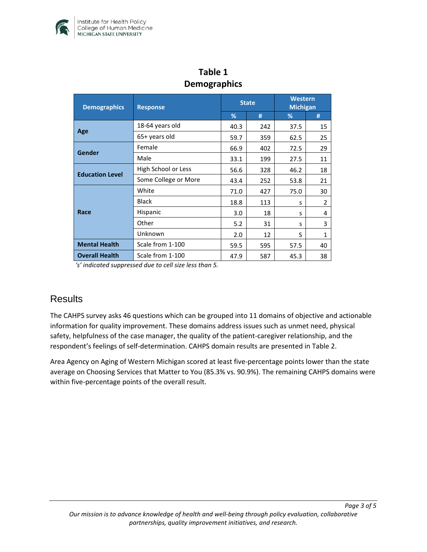

| DENIUSIAPHIUS          |                      |              |     |                                   |                |  |  |  |
|------------------------|----------------------|--------------|-----|-----------------------------------|----------------|--|--|--|
| <b>Demographics</b>    | <b>Response</b>      | <b>State</b> |     | <b>Western</b><br><b>Michigan</b> |                |  |  |  |
|                        |                      | %            | #   | %                                 | #              |  |  |  |
| Age                    | 18-64 years old      | 40.3         | 242 | 37.5                              | 15             |  |  |  |
|                        | 65+ years old        | 59.7         | 359 | 62.5                              | 25             |  |  |  |
| <b>Gender</b>          | Female               | 66.9         | 402 | 72.5                              | 29             |  |  |  |
|                        | Male                 | 33.1         | 199 | 27.5                              | 11             |  |  |  |
| <b>Education Level</b> | High School or Less  | 56.6         | 328 | 46.2                              | 18             |  |  |  |
|                        | Some College or More | 43.4         | 252 | 53.8                              | 21             |  |  |  |
| Race                   | White                | 71.0         | 427 | 75.0                              | 30             |  |  |  |
|                        | <b>Black</b>         | 18.8         | 113 | S                                 | $\overline{2}$ |  |  |  |
|                        | Hispanic             | 3.0          | 18  | S                                 | 4              |  |  |  |
|                        | Other                | 5.2          | 31  | S                                 | 3              |  |  |  |
|                        | Unknown              | 2.0          | 12  | S                                 | $\mathbf{1}$   |  |  |  |
| <b>Mental Health</b>   | Scale from 1-100     | 59.5         | 595 | 57.5                              | 40             |  |  |  |
| <b>Overall Health</b>  | Scale from 1-100     | 47.9         | 587 | 45.3                              | 38             |  |  |  |

## **Table 1 Demographics**

*'s' indicated suppressed due to cell size less than 5.* 

## **Results**

The CAHPS survey asks 46 questions which can be grouped into 11 domains of objective and actionable information for quality improvement. These domains address issues such as unmet need, physical safety, helpfulness of the case manager, the quality of the patient-caregiver relationship, and the respondent's feelings of self-determination. CAHPS domain results are presented in Table 2.

Area Agency on Aging of Western Michigan scored at least five-percentage points lower than the state average on Choosing Services that Matter to You (85.3% vs. 90.9%). The remaining CAHPS domains were within five-percentage points of the overall result.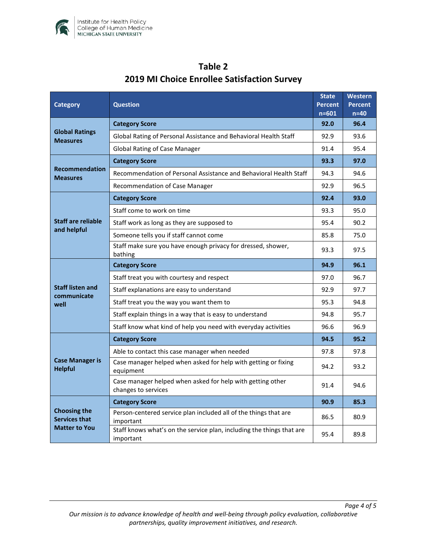

| <b>Category</b>                                                     | <b>Question</b>                                                                    |      | <b>Western</b><br><b>Percent</b><br>$n=40$ |
|---------------------------------------------------------------------|------------------------------------------------------------------------------------|------|--------------------------------------------|
| <b>Global Ratings</b><br><b>Measures</b>                            | <b>Category Score</b>                                                              |      | 96.4                                       |
|                                                                     | Global Rating of Personal Assistance and Behavioral Health Staff                   |      | 93.6                                       |
|                                                                     | <b>Global Rating of Case Manager</b>                                               |      | 95.4                                       |
| <b>Recommendation</b><br><b>Measures</b>                            | <b>Category Score</b>                                                              | 93.3 | 97.0                                       |
|                                                                     | Recommendation of Personal Assistance and Behavioral Health Staff                  |      | 94.6                                       |
|                                                                     | Recommendation of Case Manager                                                     | 92.9 | 96.5                                       |
| <b>Staff are reliable</b><br>and helpful                            | <b>Category Score</b>                                                              | 92.4 | 93.0                                       |
|                                                                     | Staff come to work on time                                                         | 93.3 | 95.0                                       |
|                                                                     | Staff work as long as they are supposed to                                         | 95.4 | 90.2                                       |
|                                                                     | Someone tells you if staff cannot come                                             | 85.8 | 75.0                                       |
|                                                                     | Staff make sure you have enough privacy for dressed, shower,<br>bathing            | 93.3 | 97.5                                       |
| <b>Staff listen and</b><br>communicate<br>well                      | <b>Category Score</b>                                                              | 94.9 | 96.1                                       |
|                                                                     | Staff treat you with courtesy and respect                                          | 97.0 | 96.7                                       |
|                                                                     | Staff explanations are easy to understand                                          | 92.9 | 97.7                                       |
|                                                                     | Staff treat you the way you want them to                                           | 95.3 | 94.8                                       |
|                                                                     | Staff explain things in a way that is easy to understand                           | 94.8 | 95.7                                       |
|                                                                     | Staff know what kind of help you need with everyday activities                     | 96.6 | 96.9                                       |
| <b>Case Manager is</b><br><b>Helpful</b>                            | <b>Category Score</b>                                                              | 94.5 | 95.2                                       |
|                                                                     | Able to contact this case manager when needed                                      | 97.8 | 97.8                                       |
|                                                                     | Case manager helped when asked for help with getting or fixing<br>equipment        |      | 93.2                                       |
|                                                                     | Case manager helped when asked for help with getting other<br>changes to services  | 91.4 | 94.6                                       |
| <b>Choosing the</b><br><b>Services that</b><br><b>Matter to You</b> | <b>Category Score</b>                                                              | 90.9 | 85.3                                       |
|                                                                     | Person-centered service plan included all of the things that are<br>important      | 86.5 | 80.9                                       |
|                                                                     | Staff knows what's on the service plan, including the things that are<br>important | 95.4 | 89.8                                       |

# **Table 2 2019 MI Choice Enrollee Satisfaction Survey**